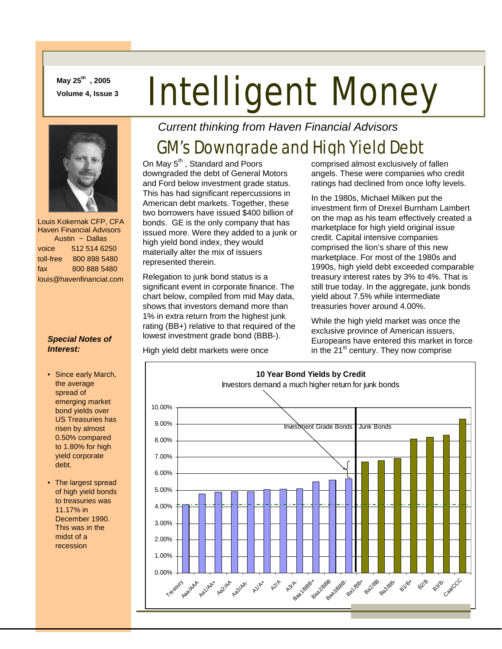**May 25th , 2005** 

# May 25<sup>cm</sup>, 2005<br>Volume 4, Issue 3 **Intelligent Money**



 Louis Kokernak CFP, CFA Haven Financial Advisors Austin ~ Dallas voice 512 514 6250 toll-free 800 898 5480 fax 800 888 5480 louis@havenfinancial.com

#### *Special Notes of Interest:*

- Since early March, the average spread of emerging market bond yields over US Treasuries has risen by almost 0.50% compared to 1.80% for high yield corporate debt.
- The largest spread of high yield bonds to treasuries was 11.17% in December 1990. This was in the midst of a recession

*Current thinking from Haven Financial Advisors* 

# GM's Downgrade and High Yield Debt

On May 5<sup>th</sup>, Standard and Poors downgraded the debt of General Motors and Ford below investment grade status. This has had significant repercussions in American debt markets. Together, these two borrowers have issued \$400 billion of bonds. GE is the only company that has issued more. Were they added to a junk or high yield bond index, they would materially alter the mix of issuers represented therein.

Relegation to junk bond status is a significant event in corporate finance. The chart below, compiled from mid May data, shows that investors demand more than 1% in extra return from the highest junk rating (BB+) relative to that required of the lowest investment grade bond (BBB-).

High yield debt markets were once

comprised almost exclusively of fallen angels. These were companies who credit ratings had declined from once lofty levels.

In the 1980s, Michael Milken put the investment firm of Drexel Burnham Lambert on the map as his team effectively created a marketplace for high yield original issue credit. Capital intensive companies comprised the lion's share of this new marketplace. For most of the 1980s and 1990s, high yield debt exceeded comparable treasury interest rates by 3% to 4%. That is still true today. In the aggregate, junk bonds yield about 7.5% while intermediate treasuries hover around 4.00%.

While the high yield market was once the exclusive province of American issuers, Europeans have entered this market in force in the 21<sup>st</sup> century. They now comprise